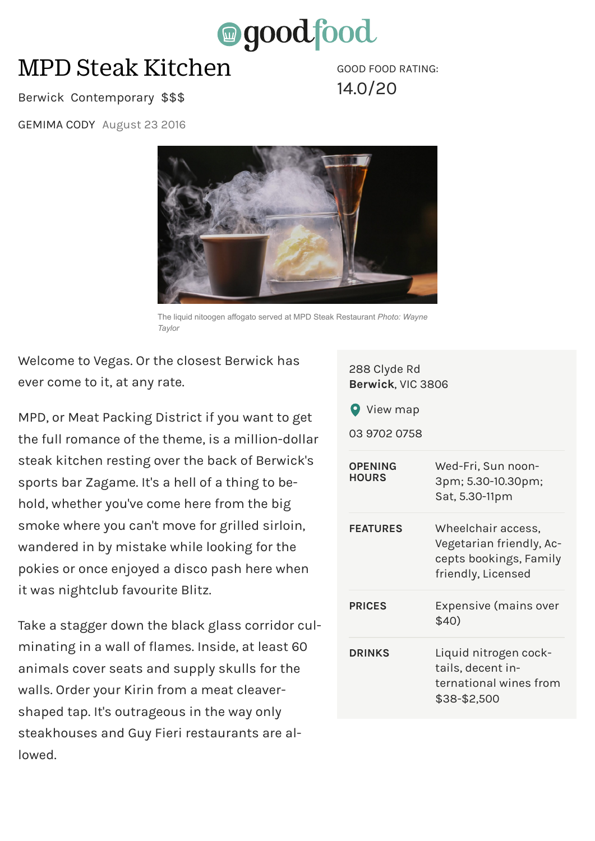

## MPD Steak Kitchen

GOOD FOOD RATING: 14.0/20

## Berwick Contemporary \$\$\$

GEMIMA CODY August 23 2016



The liquid nitoogen affogato served at MPD Steak Restaurant *Photo: Wayne Taylor*

Welcome to Vegas. Or the closest Berwick has ever come to it, at any rate.

MPD, or Meat Packing District if you want to get the full romance of the theme, is a million-dollar steak kitchen resting over the back of Berwick's sports bar Zagame. It's a hell of a thing to behold, whether you've come here from the big smoke where you can't move for grilled sirloin, wandered in by mistake while looking for the pokies or once enjoyed a disco pash here when it was nightclub favourite Blitz.

Take a stagger down the black glass corridor culminating in a wall of flames. Inside, at least 60 animals cover seats and supply skulls for the walls. Order your Kirin from a meat cleavershaped tap. It's outrageous in the way only steakhouses and Guy Fieri restaurants are allowed.

| 288 Clyde Rd<br>Berwick, VIC 3806<br><b>View map</b><br>03 9702 0758 |                                                                                                |
|----------------------------------------------------------------------|------------------------------------------------------------------------------------------------|
| <b>OPENING</b><br><b>HOURS</b>                                       | Wed-Fri, Sun noon-<br>3pm; 5.30-10.30pm;<br>Sat, 5.30-11pm                                     |
| <b>FEATURES</b>                                                      | Wheelchair access,<br>Vegetarian friendly, Ac-<br>cepts bookings, Family<br>friendly, Licensed |
| <b>PRICES</b>                                                        | Expensive (mains over<br>\$40)                                                                 |
| <b>DRINKS</b>                                                        | Liquid nitrogen cock-<br>tails, decent in-<br>ternational wines from<br>\$38-\$2,500           |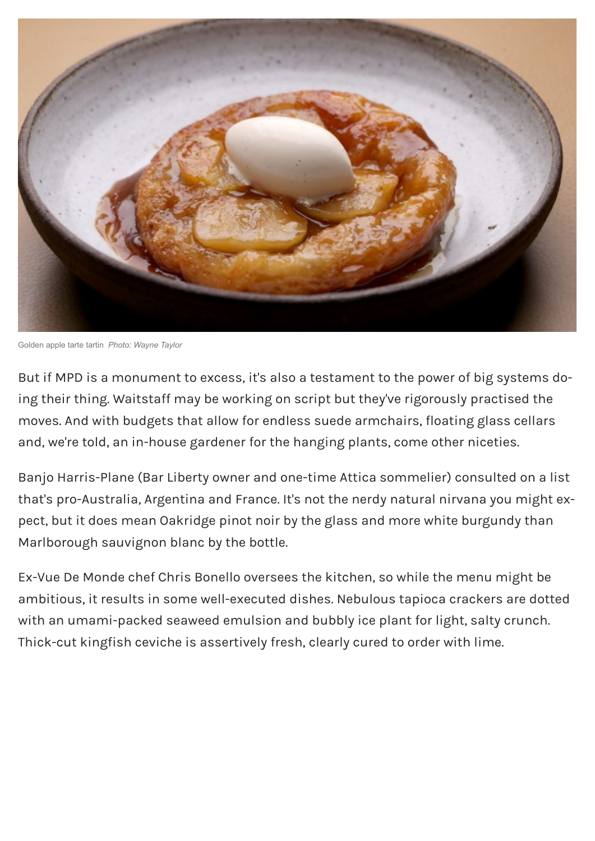

Golden apple tarte tartin *Photo: Wayne Taylor*

But if MPD is a monument to excess, it's also a testament to the power of big systems doing their thing. Waitstaff may be working on script but they've rigorously practised the moves. And with budgets that allow for endless suede armchairs, floating glass cellars and, we're told, an in-house gardener for the hanging plants, come other niceties.

Banjo Harris-Plane (Bar Liberty owner and one-time Attica sommelier) consulted on a list that's pro-Australia, Argentina and France. It's not the nerdy natural nirvana you might expect, but it does mean Oakridge pinot noir by the glass and more white burgundy than Marlborough sauvignon blanc by the bottle.

Ex-Vue De Monde chef Chris Bonello oversees the kitchen, so while the menu might be ambitious, it results in some well-executed dishes. Nebulous tapioca crackers are dotted with an umami-packed seaweed emulsion and bubbly ice plant for light, salty crunch. Thick-cut kingfish ceviche is assertively fresh, clearly cured to order with lime.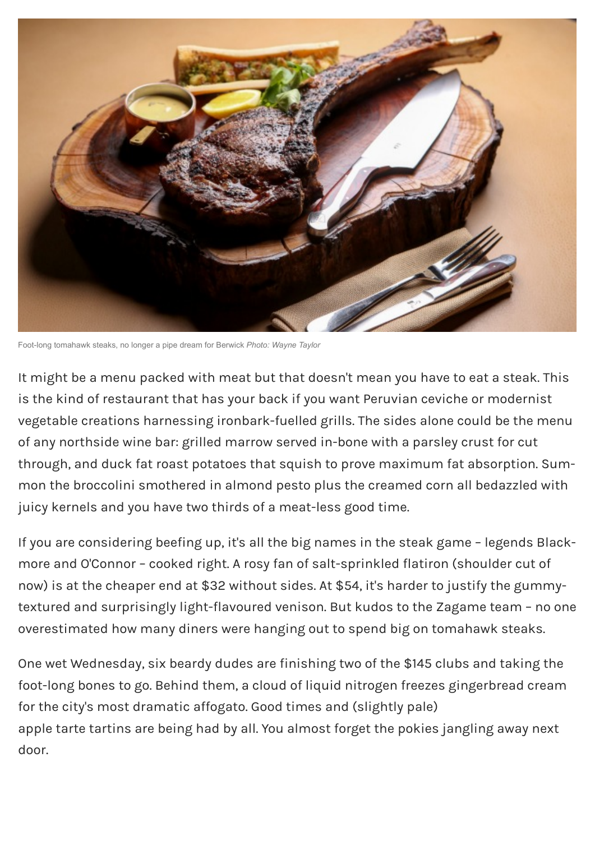

Foot-long tomahawk steaks, no longer a pipe dream for Berwick *Photo: Wayne Taylor*

It might be a menu packed with meat but that doesn't mean you have to eat a steak. This is the kind of restaurant that has your back if you want Peruvian ceviche or modernist vegetable creations harnessing ironbark-fuelled grills. The sides alone could be the menu of any northside wine bar: grilled marrow served in-bone with a parsley crust for cut through, and duck fat roast potatoes that squish to prove maximum fat absorption. Summon the broccolini smothered in almond pesto plus the creamed corn all bedazzled with juicy kernels and you have two thirds of a meat-less good time.

If you are considering beefing up, it's all the big names in the steak game – legends Blackmore and O'Connor – cooked right. A rosy fan of salt-sprinkled flatiron (shoulder cut of now) is at the cheaper end at \$32 without sides. At \$54, it's harder to justify the gummytextured and surprisingly light-flavoured venison. But kudos to the Zagame team – no one overestimated how many diners were hanging out to spend big on tomahawk steaks.

One wet Wednesday, six beardy dudes are finishing two of the \$145 clubs and taking the foot-long bones to go. Behind them, a cloud of liquid nitrogen freezes gingerbread cream for the city's most dramatic affogato. Good times and (slightly pale) apple tarte tartins are being had by all. You almost forget the pokies jangling away next door.